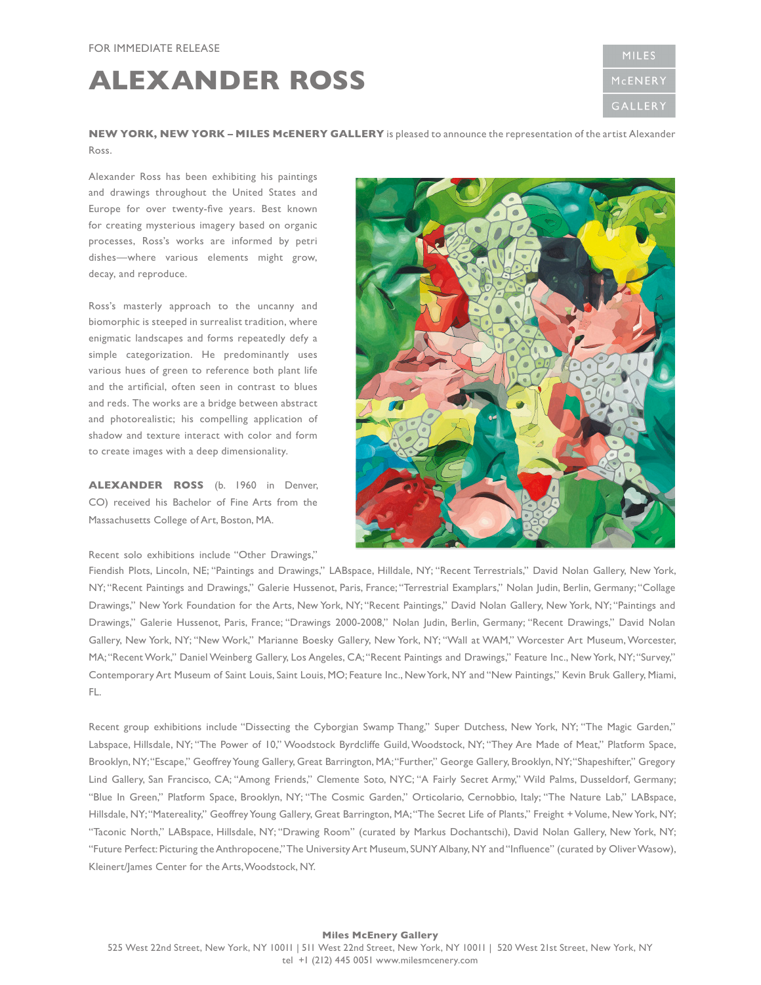## **ALEXANDER ROSS**



**NEW YORK, NEW YORK – MILES McENERY GALLERY** is pleased to announce the representation of the artist Alexander Ross.

Alexander Ross has been exhibiting his paintings and drawings throughout the United States and Europe for over twenty-five years. Best known for creating mysterious imagery based on organic processes, Ross's works are informed by petri dishes—where various elements might grow, decay, and reproduce.

Ross's masterly approach to the uncanny and biomorphic is steeped in surrealist tradition, where enigmatic landscapes and forms repeatedly defy a simple categorization. He predominantly uses various hues of green to reference both plant life and the artificial, often seen in contrast to blues and reds. The works are a bridge between abstract and photorealistic; his compelling application of shadow and texture interact with color and form to create images with a deep dimensionality.

**ALEXANDER ROSS** (b. 1960 in Denver, CO) received his Bachelor of Fine Arts from the Massachusetts College of Art, Boston, MA.

Recent solo exhibitions include "Other Drawings,"



Fiendish Plots, Lincoln, NE; "Paintings and Drawings," LABspace, Hilldale, NY; "Recent Terrestrials," David Nolan Gallery, New York, NY; "Recent Paintings and Drawings," Galerie Hussenot, Paris, France; "Terrestrial Examplars," Nolan Judin, Berlin, Germany; "Collage Drawings," New York Foundation for the Arts, New York, NY; "Recent Paintings," David Nolan Gallery, New York, NY; "Paintings and Drawings," Galerie Hussenot, Paris, France; "Drawings 2000-2008," Nolan Judin, Berlin, Germany; "Recent Drawings," David Nolan Gallery, New York, NY; "New Work," Marianne Boesky Gallery, New York, NY; "Wall at WAM," Worcester Art Museum, Worcester, MA; "Recent Work," Daniel Weinberg Gallery, Los Angeles, CA; "Recent Paintings and Drawings," Feature Inc., New York, NY; "Survey," Contemporary Art Museum of Saint Louis, Saint Louis, MO; Feature Inc., New York, NY and "New Paintings," Kevin Bruk Gallery, Miami, FL.

Recent group exhibitions include "Dissecting the Cyborgian Swamp Thang," Super Dutchess, New York, NY; "The Magic Garden," Labspace, Hillsdale, NY; "The Power of 10," Woodstock Byrdcliffe Guild, Woodstock, NY; "They Are Made of Meat," Platform Space, Brooklyn, NY; "Escape," Geoffrey Young Gallery, Great Barrington, MA; "Further," George Gallery, Brooklyn, NY; "Shapeshifter," Gregory Lind Gallery, San Francisco, CA; "Among Friends," Clemente Soto, NYC; "A Fairly Secret Army," Wild Palms, Dusseldorf, Germany; "Blue In Green," Platform Space, Brooklyn, NY; "The Cosmic Garden," Orticolario, Cernobbio, Italy; "The Nature Lab," LABspace, Hillsdale, NY; "Matereality," Geoffrey Young Gallery, Great Barrington, MA; "The Secret Life of Plants," Freight + Volume, New York, NY; "Taconic North," LABspace, Hillsdale, NY; "Drawing Room" (curated by Markus Dochantschi), David Nolan Gallery, New York, NY; "Future Perfect: Picturing the Anthropocene," The University Art Museum, SUNY Albany, NY and "Influence" (curated by Oliver Wasow), Kleinert/James Center for the Arts, Woodstock, NY.